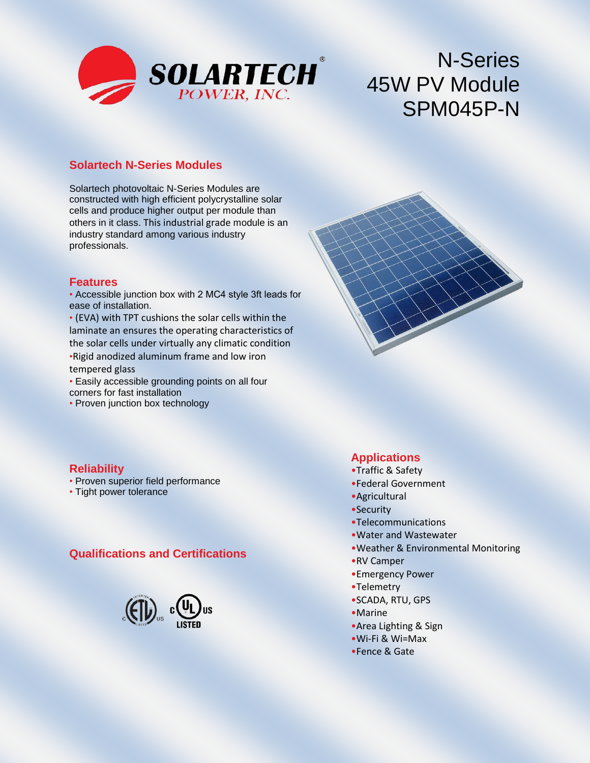

# N-Series 45W PV Module SPM045P-N

#### **Solartech N-Series Modules**

Solartech photovoltaic N-Series Modules are constructed with high efficient polycrystalline solar cells and produce higher output per module than others in it class. This industrial grade module is an industry standard among various industry professionals.

#### **Features**

• Accessible junction box with 2 MC4 style 3ft leads for ease of installation.

- (EVA) with TPT cushions the solar cells within the laminate an ensures the operating characteristics of the solar cells under virtually any climatic condition •Rigid anodized aluminum frame and low iron tempered glass
- Easily accessible grounding points on all four corners for fast installation
- Proven junction box technology

#### **Reliability**

- Proven superior field performance
- Tight power tolerance

#### **Qualifications and Certifications**



#### **Applications**

- •Traffic & Safety
- •Federal Government
- •Agricultural
- •Security
- •Telecommunications
- •Water and Wastewater
- •Weather & Environmental Monitoring
- •RV Camper
- •Emergency Power
- •Telemetry
- •SCADA, RTU, GPS
- •Marine
- •Area Lighting & Sign
- •Wi-Fi & Wi=Max
- •Fence & Gate